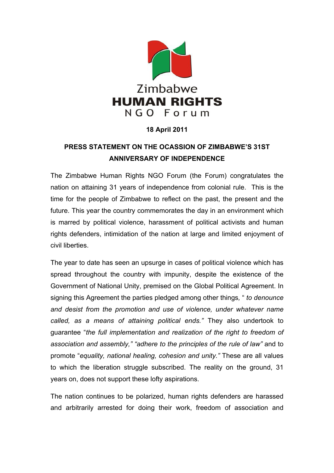

## **18 April 2011**

## **PRESS STATEMENT ON THE OCASSION OF ZIMBABWE'S 31ST ANNIVERSARY OF INDEPENDENCE**

The Zimbabwe Human Rights NGO Forum (the Forum) congratulates the nation on attaining 31 years of independence from colonial rule. This is the time for the people of Zimbabwe to reflect on the past, the present and the future. This year the country commemorates the day in an environment which is marred by political violence, harassment of political activists and human rights defenders, intimidation of the nation at large and limited enjoyment of civil liberties.

The year to date has seen an upsurge in cases of political violence which has spread throughout the country with impunity, despite the existence of the Government of National Unity, premised on the Global Political Agreement. In signing this Agreement the parties pledged among other things*,* " *to denounce and desist from the promotion and use of violence, under whatever name called, as a means of attaining political ends."* They also undertook to guarantee "*the full implementation and realization of the right to freedom of association and assembly," "adhere to the principles of the rule of law"* and to promote "*equality, national healing, cohesion and unity."* These are all values to which the liberation struggle subscribed. The reality on the ground, 31 years on, does not support these lofty aspirations.

The nation continues to be polarized, human rights defenders are harassed and arbitrarily arrested for doing their work, freedom of association and